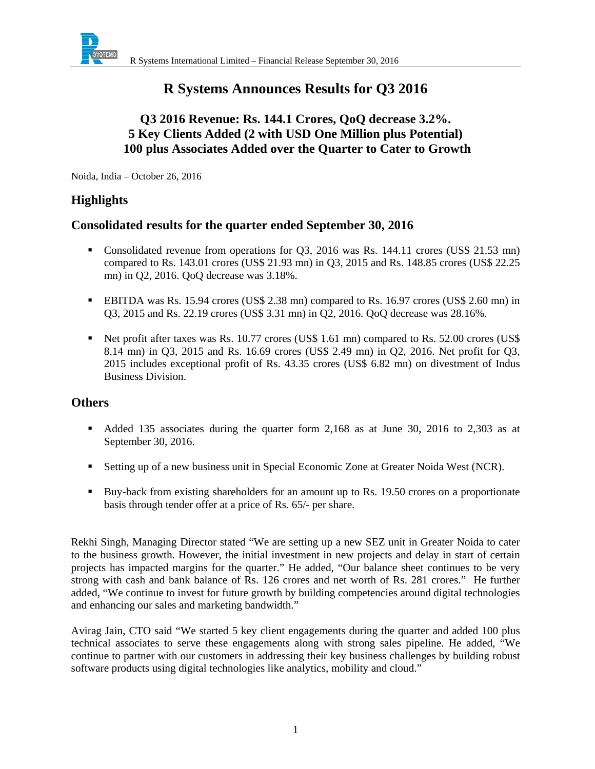

# **R Systems Announces Results for Q3 2016**

## **Q3 2016 Revenue: Rs. 144.1 Crores, QoQ decrease 3.2%. 5 Key Clients Added (2 with USD One Million plus Potential) 100 plus Associates Added over the Quarter to Cater to Growth**

Noida, India – October 26, 2016

### **Highlights**

### **Consolidated results for the quarter ended September 30, 2016**

- Consolidated revenue from operations for Q3, 2016 was Rs. 144.11 crores (US\$ 21.53 mn) compared to Rs. 143.01 crores (US\$ 21.93 mn) in Q3, 2015 and Rs. 148.85 crores (US\$ 22.25 mn) in Q2, 2016. QoQ decrease was 3.18%.
- EBITDA was Rs. 15.94 crores (US\$ 2.38 mn) compared to Rs. 16.97 crores (US\$ 2.60 mn) in Q3, 2015 and Rs. 22.19 crores (US\$ 3.31 mn) in Q2, 2016. QoQ decrease was 28.16%.
- Net profit after taxes was Rs. 10.77 crores (US\$ 1.61 mn) compared to Rs. 52.00 crores (US\$ 8.14 mn) in Q3, 2015 and Rs. 16.69 crores (US\$ 2.49 mn) in Q2, 2016. Net profit for Q3, 2015 includes exceptional profit of Rs. 43.35 crores (US\$ 6.82 mn) on divestment of Indus Business Division.

### **Others**

- Added 135 associates during the quarter form 2,168 as at June 30, 2016 to 2,303 as at September 30, 2016.
- Setting up of a new business unit in Special Economic Zone at Greater Noida West (NCR).
- Buy-back from existing shareholders for an amount up to Rs. 19.50 crores on a proportionate basis through tender offer at a price of Rs. 65/- per share.

Rekhi Singh, Managing Director stated "We are setting up a new SEZ unit in Greater Noida to cater to the business growth. However, the initial investment in new projects and delay in start of certain projects has impacted margins for the quarter." He added, "Our balance sheet continues to be very strong with cash and bank balance of Rs. 126 crores and net worth of Rs. 281 crores." He further added, "We continue to invest for future growth by building competencies around digital technologies and enhancing our sales and marketing bandwidth."

Avirag Jain, CTO said "We started 5 key client engagements during the quarter and added 100 plus technical associates to serve these engagements along with strong sales pipeline. He added, "We continue to partner with our customers in addressing their key business challenges by building robust software products using digital technologies like analytics, mobility and cloud."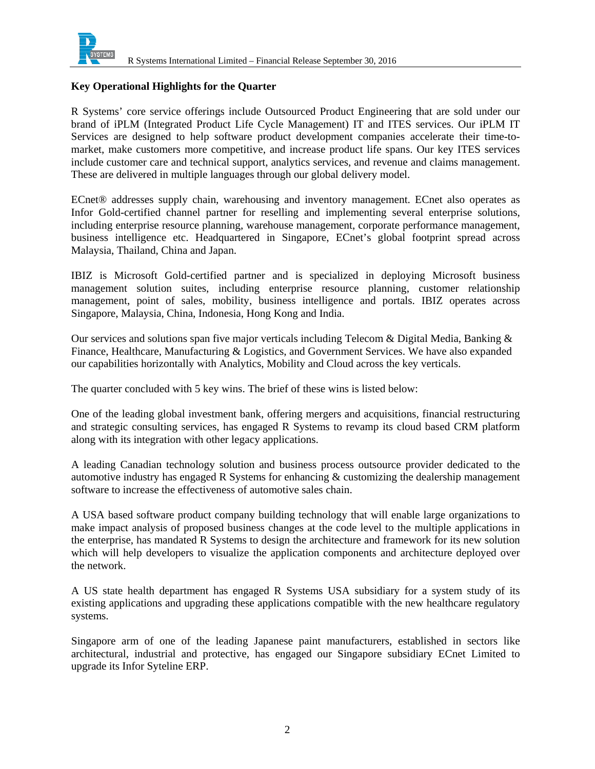

#### **Key Operational Highlights for the Quarter**

R Systems' core service offerings include Outsourced Product Engineering that are sold under our brand of iPLM (Integrated Product Life Cycle Management) IT and ITES services. Our iPLM IT Services are designed to help software product development companies accelerate their time-tomarket, make customers more competitive, and increase product life spans. Our key ITES services include customer care and technical support, analytics services, and revenue and claims management. These are delivered in multiple languages through our global delivery model.

ECnet® addresses supply chain, warehousing and inventory management. ECnet also operates as Infor Gold-certified channel partner for reselling and implementing several enterprise solutions, including enterprise resource planning, warehouse management, corporate performance management, business intelligence etc. Headquartered in Singapore, ECnet's global footprint spread across Malaysia, Thailand, China and Japan.

IBIZ is Microsoft Gold-certified partner and is specialized in deploying Microsoft business management solution suites, including enterprise resource planning, customer relationship management, point of sales, mobility, business intelligence and portals. IBIZ operates across Singapore, Malaysia, China, Indonesia, Hong Kong and India.

Our services and solutions span five major verticals including Telecom & Digital Media, Banking  $\&$ Finance, Healthcare, Manufacturing & Logistics, and Government Services. We have also expanded our capabilities horizontally with Analytics, Mobility and Cloud across the key verticals.

The quarter concluded with 5 key wins. The brief of these wins is listed below:

One of the leading global investment bank, offering mergers and acquisitions, financial restructuring and strategic consulting services, has engaged R Systems to revamp its cloud based CRM platform along with its integration with other legacy applications.

A leading Canadian technology solution and business process outsource provider dedicated to the automotive industry has engaged R Systems for enhancing  $\&$  customizing the dealership management software to increase the effectiveness of automotive sales chain.

A USA based software product company building technology that will enable large organizations to make impact analysis of proposed business changes at the code level to the multiple applications in the enterprise, has mandated R Systems to design the architecture and framework for its new solution which will help developers to visualize the application components and architecture deployed over the network.

A US state health department has engaged R Systems USA subsidiary for a system study of its existing applications and upgrading these applications compatible with the new healthcare regulatory systems.

Singapore arm of one of the leading Japanese paint manufacturers, established in sectors like architectural, industrial and protective, has engaged our Singapore subsidiary ECnet Limited to upgrade its Infor Syteline ERP.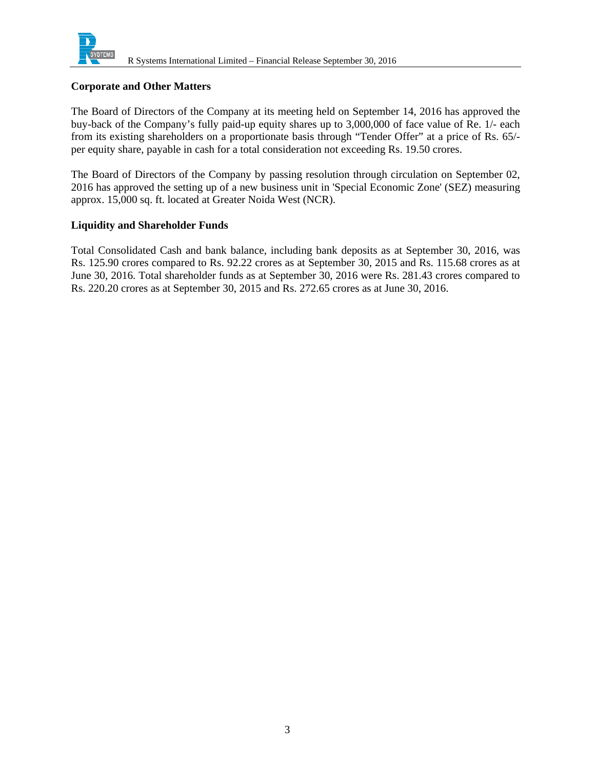

#### **Corporate and Other Matters**

The Board of Directors of the Company at its meeting held on September 14, 2016 has approved the buy-back of the Company's fully paid-up equity shares up to 3,000,000 of face value of Re. 1/- each from its existing shareholders on a proportionate basis through "Tender Offer" at a price of Rs. 65/ per equity share, payable in cash for a total consideration not exceeding Rs. 19.50 crores.

The Board of Directors of the Company by passing resolution through circulation on September 02, 2016 has approved the setting up of a new business unit in 'Special Economic Zone' (SEZ) measuring approx. 15,000 sq. ft. located at Greater Noida West (NCR).

#### **Liquidity and Shareholder Funds**

Total Consolidated Cash and bank balance, including bank deposits as at September 30, 2016, was Rs. 125.90 crores compared to Rs. 92.22 crores as at September 30, 2015 and Rs. 115.68 crores as at June 30, 2016. Total shareholder funds as at September 30, 2016 were Rs. 281.43 crores compared to Rs. 220.20 crores as at September 30, 2015 and Rs. 272.65 crores as at June 30, 2016.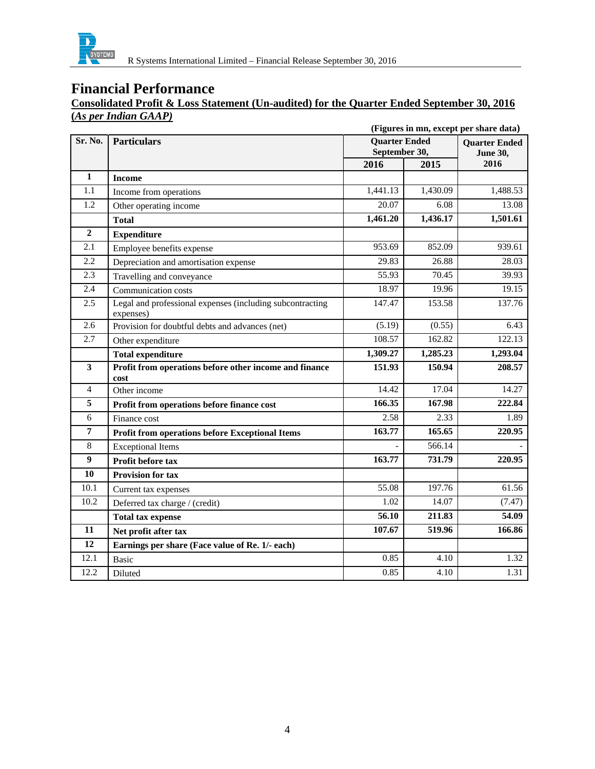

### **Consolidated Profit & Loss Statement (Un-audited) for the Quarter Ended September 30, 2016 (***As per Indian GAAP)*

|                  | (Figures in mn, except per share data)                                 |                                       |                    |                                         |
|------------------|------------------------------------------------------------------------|---------------------------------------|--------------------|-----------------------------------------|
| Sr. No.          | <b>Particulars</b>                                                     | <b>Quarter Ended</b><br>September 30, |                    | <b>Ouarter Ended</b><br><b>June 30,</b> |
|                  |                                                                        | 2016                                  | 2015               | 2016                                    |
| $\mathbf{1}$     | <b>Income</b>                                                          |                                       |                    |                                         |
| 1.1              | Income from operations                                                 | 1,441.13                              | 1,430.09           | 1,488.53                                |
| 1.2              | Other operating income                                                 | 20.07                                 | 6.08               | 13.08                                   |
|                  | <b>Total</b>                                                           | 1,461.20                              | 1,436.17           | 1,501.61                                |
| $\boldsymbol{2}$ | <b>Expenditure</b>                                                     |                                       |                    |                                         |
| 2.1              | Employee benefits expense                                              | 953.69                                | 852.09             | 939.61                                  |
| 2.2              | Depreciation and amortisation expense                                  | 29.83                                 | 26.88              | 28.03                                   |
| 2.3              | Travelling and conveyance                                              | 55.93                                 | 70.45              | 39.93                                   |
| 2.4              | Communication costs                                                    | 18.97                                 | 19.96              | 19.15                                   |
| 2.5              | Legal and professional expenses (including subcontracting<br>expenses) | 147.47                                | 153.58             | 137.76                                  |
| 2.6              | Provision for doubtful debts and advances (net)                        | (5.19)                                | (0.55)             | 6.43                                    |
| 2.7              | Other expenditure                                                      | 108.57                                | 162.82             | 122.13                                  |
|                  | <b>Total expenditure</b>                                               | 1,309.27                              | 1,285.23           | 1,293.04                                |
| 3                | Profit from operations before other income and finance<br>cost         | 151.93                                | 150.94             | 208.57                                  |
| $\overline{4}$   | Other income                                                           | 14.42                                 | $\overline{17.04}$ | 14.27                                   |
| 5                | Profit from operations before finance cost                             | 166.35                                | 167.98             | 222.84                                  |
| 6                | Finance cost                                                           | 2.58                                  | 2.33               | 1.89                                    |
| $\overline{7}$   | <b>Profit from operations before Exceptional Items</b>                 | 163.77                                | 165.65             | 220.95                                  |
| 8                | <b>Exceptional Items</b>                                               |                                       | 566.14             |                                         |
| 9                | Profit before tax                                                      | 163.77                                | 731.79             | 220.95                                  |
| 10               | <b>Provision for tax</b>                                               |                                       |                    |                                         |
| 10.1             | Current tax expenses                                                   | 55.08                                 | 197.76             | 61.56                                   |
| 10.2             | Deferred tax charge / (credit)                                         | 1.02                                  | 14.07              | (7.47)                                  |
|                  | <b>Total tax expense</b>                                               | 56.10                                 | 211.83             | 54.09                                   |
| 11               | Net profit after tax                                                   | 107.67                                | 519.96             | 166.86                                  |
| 12               | Earnings per share (Face value of Re. 1/- each)                        |                                       |                    |                                         |
| 12.1             | <b>Basic</b>                                                           | 0.85                                  | 4.10               | 1.32                                    |
| 12.2             | Diluted                                                                | 0.85                                  | 4.10               | 1.31                                    |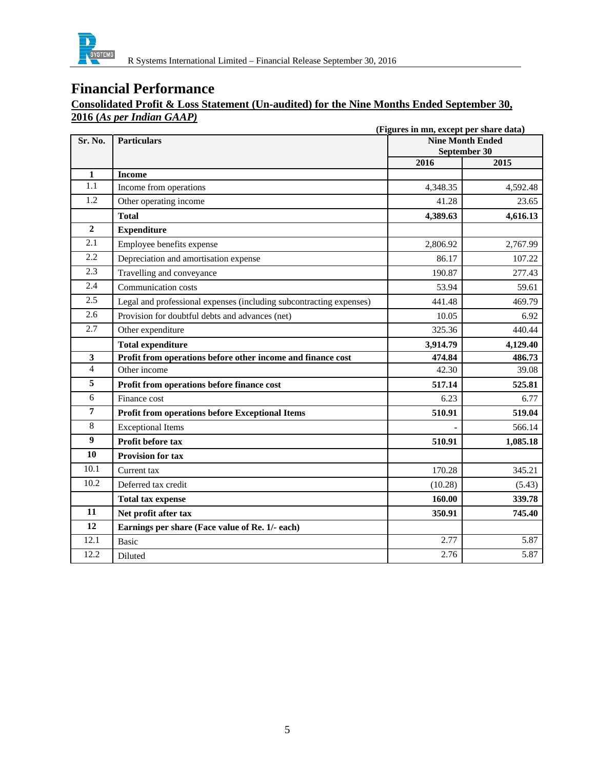

### **Consolidated Profit & Loss Statement (Un-audited) for the Nine Months Ended September 30, 2016 (***As per Indian GAAP)*

|                  | (Figures in mn, except per share data)                              |                                         |          |
|------------------|---------------------------------------------------------------------|-----------------------------------------|----------|
| Sr. No.          | <b>Particulars</b>                                                  | <b>Nine Month Ended</b><br>September 30 |          |
|                  |                                                                     | 2016                                    | 2015     |
| 1                | <b>Income</b>                                                       |                                         |          |
| 1.1              | Income from operations                                              | 4,348.35                                | 4,592.48 |
| $\overline{1.2}$ | Other operating income                                              | 41.28                                   | 23.65    |
|                  | <b>Total</b>                                                        | 4,389.63                                | 4,616.13 |
| $\overline{2}$   | <b>Expenditure</b>                                                  |                                         |          |
| 2.1              | Employee benefits expense                                           | 2,806.92                                | 2,767.99 |
| 2.2              | Depreciation and amortisation expense                               | 86.17                                   | 107.22   |
| 2.3              | Travelling and conveyance                                           | 190.87                                  | 277.43   |
| 2.4              | Communication costs                                                 | 53.94                                   | 59.61    |
| 2.5              | Legal and professional expenses (including subcontracting expenses) | 441.48                                  | 469.79   |
| 2.6              | Provision for doubtful debts and advances (net)                     | 10.05                                   | 6.92     |
| 2.7              | Other expenditure                                                   | 325.36                                  | 440.44   |
|                  | <b>Total expenditure</b>                                            | 3,914.79                                | 4,129.40 |
| 3                | Profit from operations before other income and finance cost         | 474.84                                  | 486.73   |
| $\overline{4}$   | Other income                                                        | 42.30                                   | 39.08    |
| 5                | Profit from operations before finance cost                          | 517.14                                  | 525.81   |
| 6                | Finance cost                                                        | 6.23                                    | 6.77     |
| $\overline{7}$   | <b>Profit from operations before Exceptional Items</b>              | 510.91                                  | 519.04   |
| 8                | <b>Exceptional Items</b>                                            |                                         | 566.14   |
| $\boldsymbol{9}$ | Profit before tax                                                   | 510.91                                  | 1,085.18 |
| 10               | <b>Provision for tax</b>                                            |                                         |          |
| 10.1             | Current tax                                                         | 170.28                                  | 345.21   |
| 10.2             | Deferred tax credit                                                 | (10.28)                                 | (5.43)   |
|                  | <b>Total tax expense</b>                                            | 160.00                                  | 339.78   |
| 11               | Net profit after tax                                                | 350.91                                  | 745.40   |
| 12               | Earnings per share (Face value of Re. 1/- each)                     |                                         |          |
| 12.1             | <b>Basic</b>                                                        | 2.77                                    | 5.87     |
| 12.2             | Diluted                                                             | 2.76                                    | 5.87     |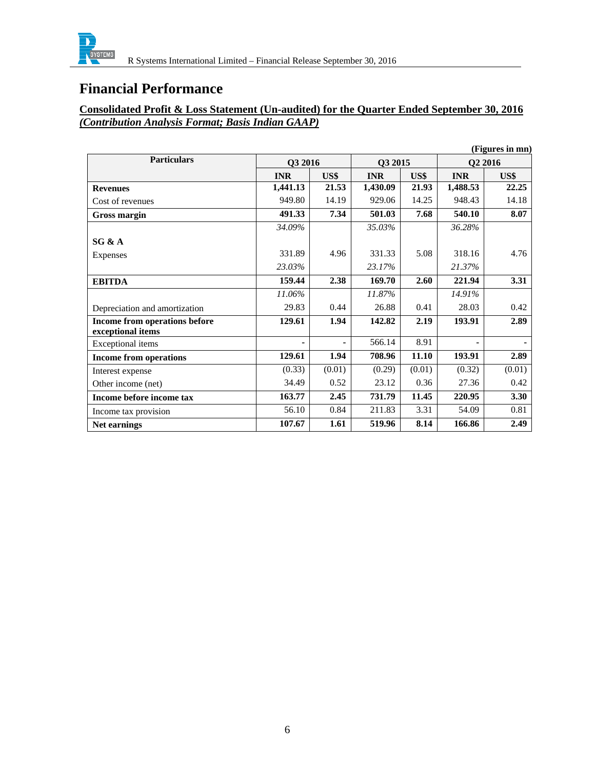

### **Consolidated Profit & Loss Statement (Un-audited) for the Quarter Ended September 30, 2016**  *(Contribution Analysis Format; Basis Indian GAAP)*

|                               |            |                |            |        |            | (Figures in mn)     |
|-------------------------------|------------|----------------|------------|--------|------------|---------------------|
| <b>Particulars</b>            | Q3 2016    |                | Q3 2015    |        |            | O <sub>2</sub> 2016 |
|                               | <b>INR</b> | US\$           | <b>INR</b> | US\$   | <b>INR</b> | US\$                |
| <b>Revenues</b>               | 1,441.13   | 21.53          | 1,430.09   | 21.93  | 1,488.53   | 22.25               |
| Cost of revenues              | 949.80     | 14.19          | 929.06     | 14.25  | 948.43     | 14.18               |
| Gross margin                  | 491.33     | 7.34           | 501.03     | 7.68   | 540.10     | 8.07                |
|                               | 34.09%     |                | 35.03%     |        | 36.28%     |                     |
| SG & A                        |            |                |            |        |            |                     |
| <b>Expenses</b>               | 331.89     | 4.96           | 331.33     | 5.08   | 318.16     | 4.76                |
|                               | 23.03%     |                | 23.17%     |        | 21.37%     |                     |
| <b>EBITDA</b>                 | 159.44     | 2.38           | 169.70     | 2.60   | 221.94     | 3.31                |
|                               | 11.06%     |                | 11.87%     |        | 14.91%     |                     |
| Depreciation and amortization | 29.83      | 0.44           | 26.88      | 0.41   | 28.03      | 0.42                |
| Income from operations before | 129.61     | 1.94           | 142.82     | 2.19   | 193.91     | 2.89                |
| exceptional items             |            |                |            |        |            |                     |
| <b>Exceptional</b> items      | ٠          | $\blacksquare$ | 566.14     | 8.91   |            |                     |
| <b>Income from operations</b> | 129.61     | 1.94           | 708.96     | 11.10  | 193.91     | 2.89                |
| Interest expense              | (0.33)     | (0.01)         | (0.29)     | (0.01) | (0.32)     | (0.01)              |
| Other income (net)            | 34.49      | 0.52           | 23.12      | 0.36   | 27.36      | 0.42                |
| Income before income tax      | 163.77     | 2.45           | 731.79     | 11.45  | 220.95     | 3.30                |
| Income tax provision          | 56.10      | 0.84           | 211.83     | 3.31   | 54.09      | 0.81                |
| Net earnings                  | 107.67     | 1.61           | 519.96     | 8.14   | 166.86     | 2.49                |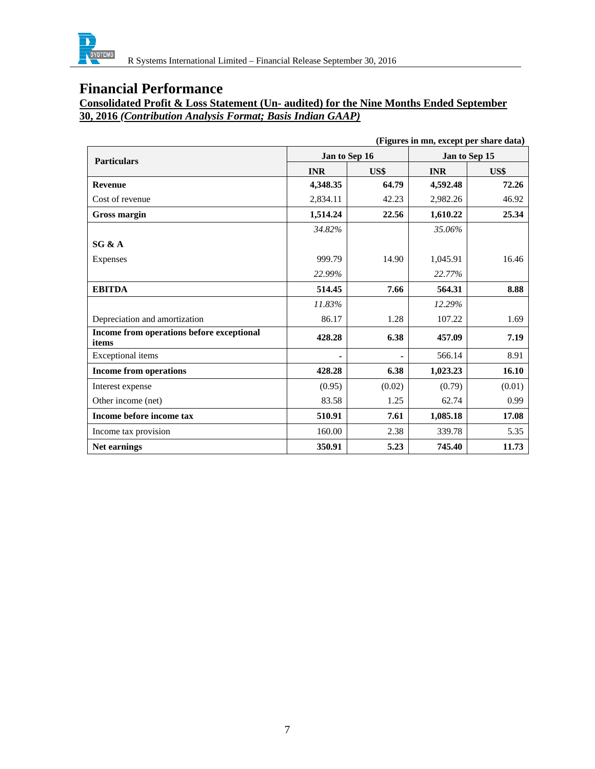

**Consolidated Profit & Loss Statement (Un- audited) for the Nine Months Ended September 30, 2016** *(Contribution Analysis Format; Basis Indian GAAP)*

| (Figures in mn, except per share data)             |            |               |            |               |
|----------------------------------------------------|------------|---------------|------------|---------------|
| <b>Particulars</b>                                 |            | Jan to Sep 16 |            | Jan to Sep 15 |
|                                                    | <b>INR</b> | US\$          | <b>INR</b> | US\$          |
| <b>Revenue</b>                                     | 4,348.35   | 64.79         | 4,592.48   | 72.26         |
| Cost of revenue                                    | 2,834.11   | 42.23         | 2,982.26   | 46.92         |
| Gross margin                                       | 1,514.24   | 22.56         | 1,610.22   | 25.34         |
|                                                    | 34.82%     |               | 35.06%     |               |
| SG & A                                             |            |               |            |               |
| <b>Expenses</b>                                    | 999.79     | 14.90         | 1,045.91   | 16.46         |
|                                                    | 22.99%     |               | 22.77%     |               |
| <b>EBITDA</b>                                      | 514.45     | 7.66          | 564.31     | 8.88          |
|                                                    | 11.83%     |               | 12.29%     |               |
| Depreciation and amortization                      | 86.17      | 1.28          | 107.22     | 1.69          |
| Income from operations before exceptional<br>items | 428.28     | 6.38          | 457.09     | 7.19          |
| <b>Exceptional</b> items                           |            |               | 566.14     | 8.91          |
| <b>Income from operations</b>                      | 428.28     | 6.38          | 1,023.23   | 16.10         |
| Interest expense                                   | (0.95)     | (0.02)        | (0.79)     | (0.01)        |
| Other income (net)                                 | 83.58      | 1.25          | 62.74      | 0.99          |
| Income before income tax                           | 510.91     | 7.61          | 1,085.18   | 17.08         |
| Income tax provision                               | 160.00     | 2.38          | 339.78     | 5.35          |
| Net earnings                                       | 350.91     | 5.23          | 745.40     | 11.73         |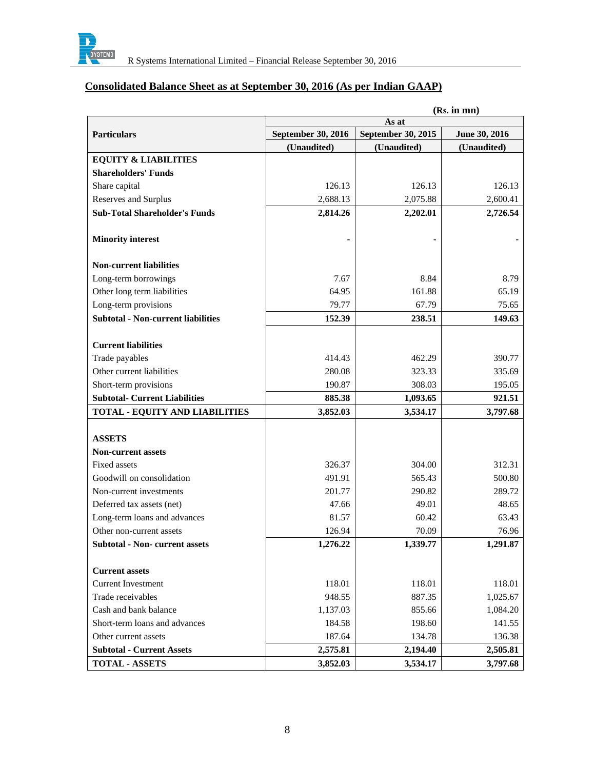

### **Consolidated Balance Sheet as at September 30, 2016 (As per Indian GAAP)**

|                                           | (Rs. in mn)        |                    |               |  |
|-------------------------------------------|--------------------|--------------------|---------------|--|
|                                           | As at              |                    |               |  |
| <b>Particulars</b>                        | September 30, 2016 | September 30, 2015 | June 30, 2016 |  |
|                                           | (Unaudited)        | (Unaudited)        | (Unaudited)   |  |
| <b>EQUITY &amp; LIABILITIES</b>           |                    |                    |               |  |
| <b>Shareholders' Funds</b>                |                    |                    |               |  |
| Share capital                             | 126.13             | 126.13             | 126.13        |  |
| Reserves and Surplus                      | 2,688.13           | 2,075.88           | 2,600.41      |  |
| <b>Sub-Total Shareholder's Funds</b>      | 2,814.26           | 2,202.01           | 2,726.54      |  |
|                                           |                    |                    |               |  |
| <b>Minority interest</b>                  |                    |                    |               |  |
| <b>Non-current liabilities</b>            |                    |                    |               |  |
| Long-term borrowings                      | 7.67               | 8.84               | 8.79          |  |
| Other long term liabilities               | 64.95              | 161.88             | 65.19         |  |
| Long-term provisions                      | 79.77              | 67.79              | 75.65         |  |
| <b>Subtotal - Non-current liabilities</b> | 152.39             | 238.51             | 149.63        |  |
|                                           |                    |                    |               |  |
| <b>Current liabilities</b>                |                    |                    |               |  |
| Trade payables                            | 414.43             | 462.29             | 390.77        |  |
| Other current liabilities                 | 280.08             | 323.33             | 335.69        |  |
| Short-term provisions                     | 190.87             | 308.03             | 195.05        |  |
| <b>Subtotal- Current Liabilities</b>      | 885.38             | 1,093.65           | 921.51        |  |
| <b>TOTAL - EQUITY AND LIABILITIES</b>     | 3,852.03           | 3,534.17           | 3,797.68      |  |
|                                           |                    |                    |               |  |
| <b>ASSETS</b>                             |                    |                    |               |  |
| <b>Non-current assets</b>                 |                    |                    |               |  |
| <b>Fixed assets</b>                       | 326.37             | 304.00             | 312.31        |  |
| Goodwill on consolidation                 | 491.91             | 565.43             | 500.80        |  |
| Non-current investments                   | 201.77             | 290.82             | 289.72        |  |
| Deferred tax assets (net)                 | 47.66              | 49.01              | 48.65         |  |
| Long-term loans and advances              | 81.57              | 60.42              | 63.43         |  |
| Other non-current assets                  | 126.94             | 70.09              | 76.96         |  |
| <b>Subtotal - Non- current assets</b>     | 1,276.22           | 1,339.77           | 1,291.87      |  |
| <b>Current assets</b>                     |                    |                    |               |  |
| <b>Current Investment</b>                 | 118.01             | 118.01             | 118.01        |  |
| Trade receivables                         | 948.55             | 887.35             | 1,025.67      |  |
| Cash and bank balance                     | 1,137.03           | 855.66             | 1,084.20      |  |
| Short-term loans and advances             | 184.58             | 198.60             | 141.55        |  |
| Other current assets                      | 187.64             | 134.78             | 136.38        |  |
| <b>Subtotal - Current Assets</b>          | 2,575.81           | 2,194.40           | 2,505.81      |  |
| <b>TOTAL - ASSETS</b>                     | 3,852.03           | 3,534.17           | 3,797.68      |  |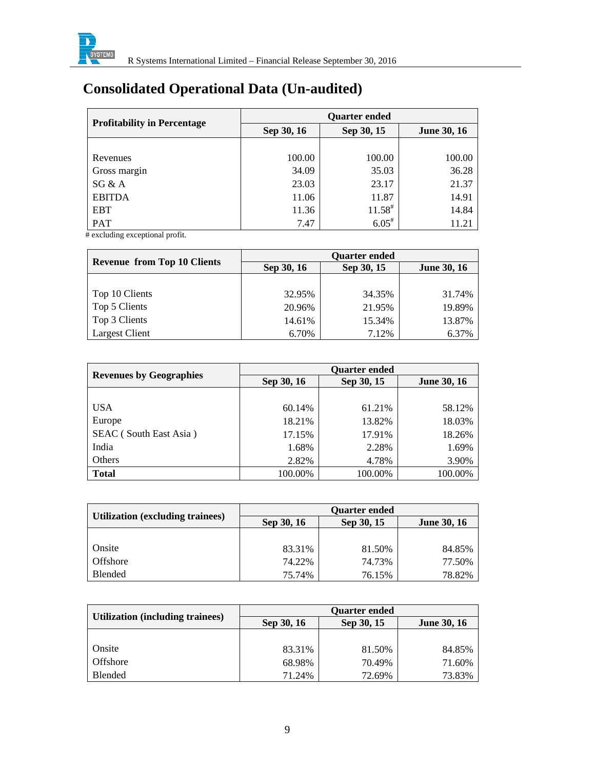

# **Consolidated Operational Data (Un-audited)**

| <b>Profitability in Percentage</b> | <b>Quarter ended</b> |              |                    |  |
|------------------------------------|----------------------|--------------|--------------------|--|
|                                    | Sep 30, 16           | Sep 30, 15   | <b>June 30, 16</b> |  |
|                                    |                      |              |                    |  |
| Revenues                           | 100.00               | 100.00       | 100.00             |  |
| Gross margin                       | 34.09                | 35.03        | 36.28              |  |
| SG & A                             | 23.03                | 23.17        | 21.37              |  |
| <b>EBITDA</b>                      | 11.06                | 11.87        | 14.91              |  |
| <b>EBT</b>                         | 11.36                | $11.58^{\#}$ | 14.84              |  |
| PAT                                | 7.47                 | $6.05^*$     | 11.21              |  |

# excluding exceptional profit.

|                                    | <b>Quarter ended</b> |            |                    |  |
|------------------------------------|----------------------|------------|--------------------|--|
| <b>Revenue from Top 10 Clients</b> | Sep 30, 16           | Sep 30, 15 | <b>June 30, 16</b> |  |
|                                    |                      |            |                    |  |
| Top 10 Clients                     | 32.95%               | 34.35%     | 31.74%             |  |
| Top 5 Clients                      | 20.96%               | 21.95%     | 19.89%             |  |
| Top 3 Clients                      | 14.61%               | 15.34%     | 13.87%             |  |
| <b>Largest Client</b>              | 6.70%                | 7.12%      | 6.37%              |  |

| <b>Revenues by Geographies</b> | <b>Quarter ended</b> |            |                    |  |
|--------------------------------|----------------------|------------|--------------------|--|
|                                | Sep 30, 16           | Sep 30, 15 | <b>June 30, 16</b> |  |
|                                |                      |            |                    |  |
| <b>USA</b>                     | 60.14%               | 61.21%     | 58.12%             |  |
| Europe                         | 18.21%               | 13.82%     | 18.03%             |  |
| SEAC (South East Asia)         | 17.15%               | 17.91%     | 18.26%             |  |
| India                          | 1.68%                | 2.28%      | 1.69%              |  |
| Others                         | 2.82%                | 4.78%      | 3.90%              |  |
| <b>Total</b>                   | 100.00%              | 100.00%    | 100.00%            |  |

|                                         | <b>Quarter ended</b> |            |                    |  |
|-----------------------------------------|----------------------|------------|--------------------|--|
| <b>Utilization (excluding trainees)</b> | Sep 30, 16           | Sep 30, 15 | <b>June 30, 16</b> |  |
|                                         |                      |            |                    |  |
| Onsite                                  | 83.31%               | 81.50%     | 84.85%             |  |
| Offshore                                | 74.22%               | 74.73%     | 77.50%             |  |
| Blended                                 | 75.74%               | 76.15%     | 78.82%             |  |

|                                  | <b>Ouarter ended</b> |            |                    |  |
|----------------------------------|----------------------|------------|--------------------|--|
| Utilization (including trainees) | Sep 30, 16           | Sep 30, 15 | <b>June 30, 16</b> |  |
|                                  |                      |            |                    |  |
| Onsite                           | 83.31%               | 81.50%     | 84.85%             |  |
| Offshore                         | 68.98%               | 70.49%     | 71.60%             |  |
| <b>Blended</b>                   | 71.24%               | 72.69%     | 73.83%             |  |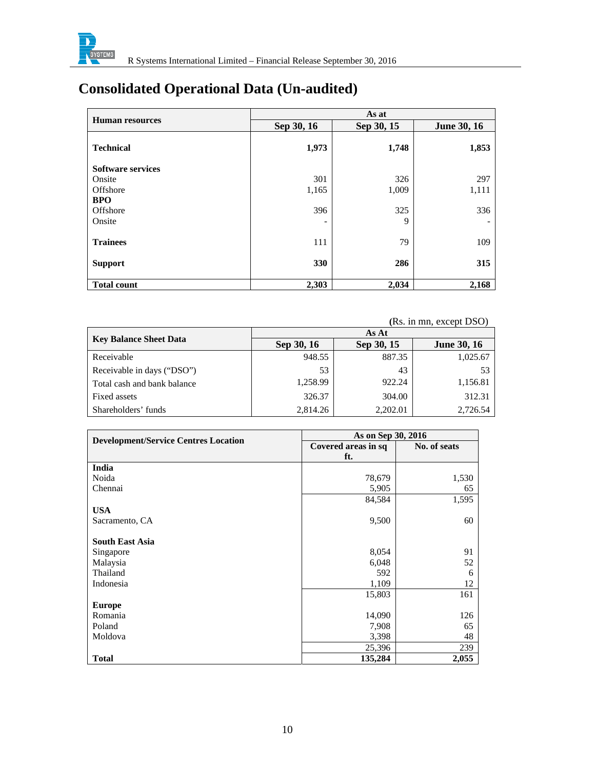

# **Consolidated Operational Data (Un-audited)**

|                          |            | As at      |                    |
|--------------------------|------------|------------|--------------------|
| <b>Human resources</b>   | Sep 30, 16 | Sep 30, 15 | <b>June 30, 16</b> |
| <b>Technical</b>         | 1,973      | 1,748      | 1,853              |
| <b>Software services</b> |            |            |                    |
| Onsite                   | 301        | 326        | 297                |
| Offshore                 | 1,165      | 1,009      | 1,111              |
| <b>BPO</b>               |            |            |                    |
| Offshore                 | 396        | 325        | 336                |
| Onsite                   |            | 9          |                    |
| <b>Trainees</b>          | 111        | 79         | 109                |
| <b>Support</b>           | 330        | 286        | 315                |
| <b>Total count</b>       | 2,303      | 2,034      | 2,168              |

|                               |            |            | (Rs. in mn, except DSO) |
|-------------------------------|------------|------------|-------------------------|
|                               |            | As At      |                         |
| <b>Key Balance Sheet Data</b> | Sep 30, 16 | Sep 30, 15 | <b>June 30, 16</b>      |
| Receivable                    | 948.55     | 887.35     | 1,025.67                |
| Receivable in days ("DSO")    | 53         | 43         | 53                      |
| Total cash and bank balance   | 1,258.99   | 922.24     | 1,156.81                |
| Fixed assets                  | 326.37     | 304.00     | 312.31                  |
| Shareholders' funds           | 2.814.26   | 2,202.01   | 2.726.54                |

|                                             | As on Sep 30, 2016  |              |
|---------------------------------------------|---------------------|--------------|
| <b>Development/Service Centres Location</b> | Covered areas in sq | No. of seats |
|                                             | ft.                 |              |
| India                                       |                     |              |
| Noida                                       | 78,679              | 1,530        |
| Chennai                                     | 5,905               | 65           |
|                                             | 84,584              | 1,595        |
| <b>USA</b>                                  |                     |              |
| Sacramento, CA                              | 9,500               | 60           |
|                                             |                     |              |
| <b>South East Asia</b>                      |                     |              |
| Singapore                                   | 8,054               | 91           |
| Malaysia                                    | 6,048               | 52           |
| Thailand                                    | 592                 | 6            |
| Indonesia                                   | 1,109               | 12           |
|                                             | 15,803              | 161          |
| <b>Europe</b>                               |                     |              |
| Romania                                     | 14,090              | 126          |
| Poland                                      | 7,908               | 65           |
| Moldova                                     | 3,398               | 48           |
|                                             | 25,396              | 239          |
| <b>Total</b>                                | 135,284             | 2,055        |